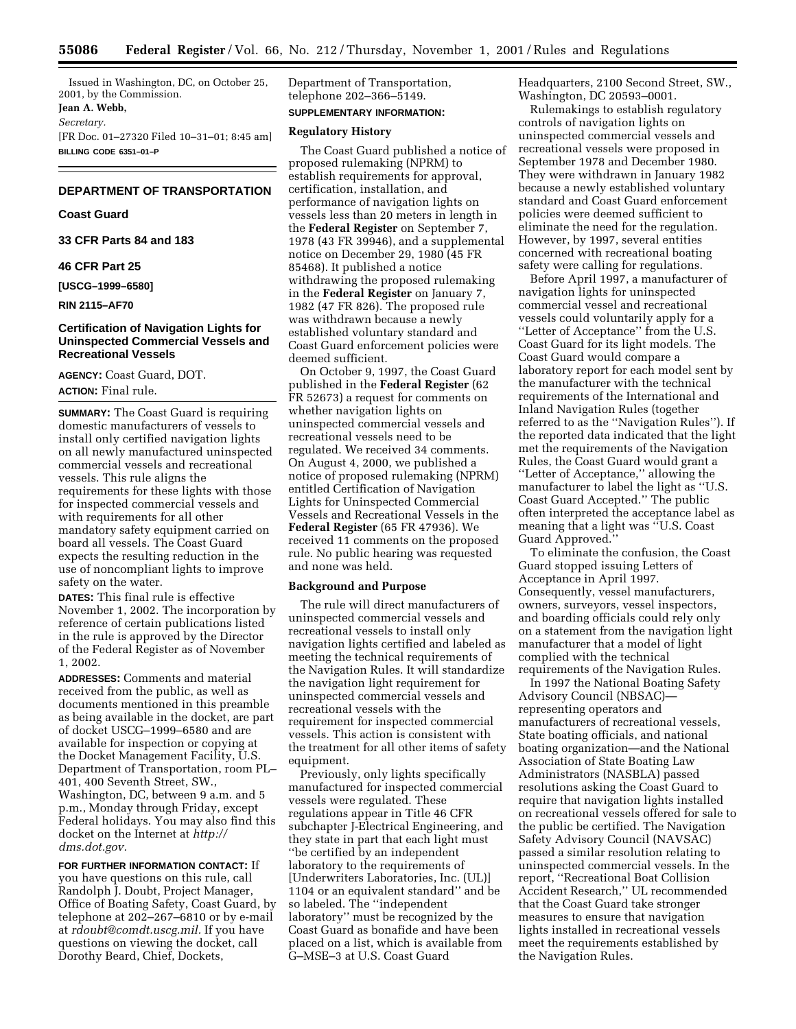Issued in Washington, DC, on October 25, 2001, by the Commission. **Jean A. Webb,** *Secretary.* [FR Doc. 01–27320 Filed 10–31–01; 8:45 am] **BILLING CODE 6351–01–P**

# **DEPARTMENT OF TRANSPORTATION**

# **Coast Guard**

**33 CFR Parts 84 and 183**

# **46 CFR Part 25**

**[USCG–1999–6580]**

**RIN 2115–AF70**

# **Certification of Navigation Lights for Uninspected Commercial Vessels and Recreational Vessels**

**AGENCY:** Coast Guard, DOT. **ACTION:** Final rule.

**SUMMARY:** The Coast Guard is requiring domestic manufacturers of vessels to install only certified navigation lights on all newly manufactured uninspected commercial vessels and recreational vessels. This rule aligns the requirements for these lights with those for inspected commercial vessels and with requirements for all other mandatory safety equipment carried on board all vessels. The Coast Guard expects the resulting reduction in the use of noncompliant lights to improve safety on the water.

**DATES:** This final rule is effective November 1, 2002. The incorporation by reference of certain publications listed in the rule is approved by the Director of the Federal Register as of November 1, 2002.

**ADDRESSES:** Comments and material received from the public, as well as documents mentioned in this preamble as being available in the docket, are part of docket USCG–1999–6580 and are available for inspection or copying at the Docket Management Facility, U.S. Department of Transportation, room PL– 401, 400 Seventh Street, SW., Washington, DC, between 9 a.m. and 5 p.m., Monday through Friday, except Federal holidays. You may also find this docket on the Internet at *http:// dms.dot.gov.*

**FOR FURTHER INFORMATION CONTACT:** If you have questions on this rule, call Randolph J. Doubt, Project Manager, Office of Boating Safety, Coast Guard, by telephone at 202–267–6810 or by e-mail at *rdoubt@comdt.uscg.mil.* If you have questions on viewing the docket, call Dorothy Beard, Chief, Dockets,

Department of Transportation, telephone 202–366–5149. **SUPPLEMENTARY INFORMATION:**

# **Regulatory History**

The Coast Guard published a notice of proposed rulemaking (NPRM) to establish requirements for approval, certification, installation, and performance of navigation lights on vessels less than 20 meters in length in the **Federal Register** on September 7, 1978 (43 FR 39946), and a supplemental notice on December 29, 1980 (45 FR 85468). It published a notice withdrawing the proposed rulemaking in the **Federal Register** on January 7, 1982 (47 FR 826). The proposed rule was withdrawn because a newly established voluntary standard and Coast Guard enforcement policies were deemed sufficient.

On October 9, 1997, the Coast Guard published in the **Federal Register** (62 FR 52673) a request for comments on whether navigation lights on uninspected commercial vessels and recreational vessels need to be regulated. We received 34 comments. On August 4, 2000, we published a notice of proposed rulemaking (NPRM) entitled Certification of Navigation Lights for Uninspected Commercial Vessels and Recreational Vessels in the **Federal Register** (65 FR 47936). We received 11 comments on the proposed rule. No public hearing was requested and none was held.

## **Background and Purpose**

The rule will direct manufacturers of uninspected commercial vessels and recreational vessels to install only navigation lights certified and labeled as meeting the technical requirements of the Navigation Rules. It will standardize the navigation light requirement for uninspected commercial vessels and recreational vessels with the requirement for inspected commercial vessels. This action is consistent with the treatment for all other items of safety equipment.

Previously, only lights specifically manufactured for inspected commercial vessels were regulated. These regulations appear in Title 46 CFR subchapter J-Electrical Engineering, and they state in part that each light must ''be certified by an independent laboratory to the requirements of [Underwriters Laboratories, Inc. (UL)] 1104 or an equivalent standard'' and be so labeled. The ''independent laboratory'' must be recognized by the Coast Guard as bonafide and have been placed on a list, which is available from G–MSE–3 at U.S. Coast Guard

Headquarters, 2100 Second Street, SW., Washington, DC 20593–0001.

Rulemakings to establish regulatory controls of navigation lights on uninspected commercial vessels and recreational vessels were proposed in September 1978 and December 1980. They were withdrawn in January 1982 because a newly established voluntary standard and Coast Guard enforcement policies were deemed sufficient to eliminate the need for the regulation. However, by 1997, several entities concerned with recreational boating safety were calling for regulations.

Before April 1997, a manufacturer of navigation lights for uninspected commercial vessel and recreational vessels could voluntarily apply for a ''Letter of Acceptance'' from the U.S. Coast Guard for its light models. The Coast Guard would compare a laboratory report for each model sent by the manufacturer with the technical requirements of the International and Inland Navigation Rules (together referred to as the ''Navigation Rules''). If the reported data indicated that the light met the requirements of the Navigation Rules, the Coast Guard would grant a ''Letter of Acceptance,'' allowing the manufacturer to label the light as ''U.S. Coast Guard Accepted.'' The public often interpreted the acceptance label as meaning that a light was ''U.S. Coast Guard Approved.''

To eliminate the confusion, the Coast Guard stopped issuing Letters of Acceptance in April 1997. Consequently, vessel manufacturers, owners, surveyors, vessel inspectors, and boarding officials could rely only on a statement from the navigation light manufacturer that a model of light complied with the technical requirements of the Navigation Rules.

In 1997 the National Boating Safety Advisory Council (NBSAC) representing operators and manufacturers of recreational vessels, State boating officials, and national boating organization—and the National Association of State Boating Law Administrators (NASBLA) passed resolutions asking the Coast Guard to require that navigation lights installed on recreational vessels offered for sale to the public be certified. The Navigation Safety Advisory Council (NAVSAC) passed a similar resolution relating to uninspected commercial vessels. In the report, ''Recreational Boat Collision Accident Research,'' UL recommended that the Coast Guard take stronger measures to ensure that navigation lights installed in recreational vessels meet the requirements established by the Navigation Rules.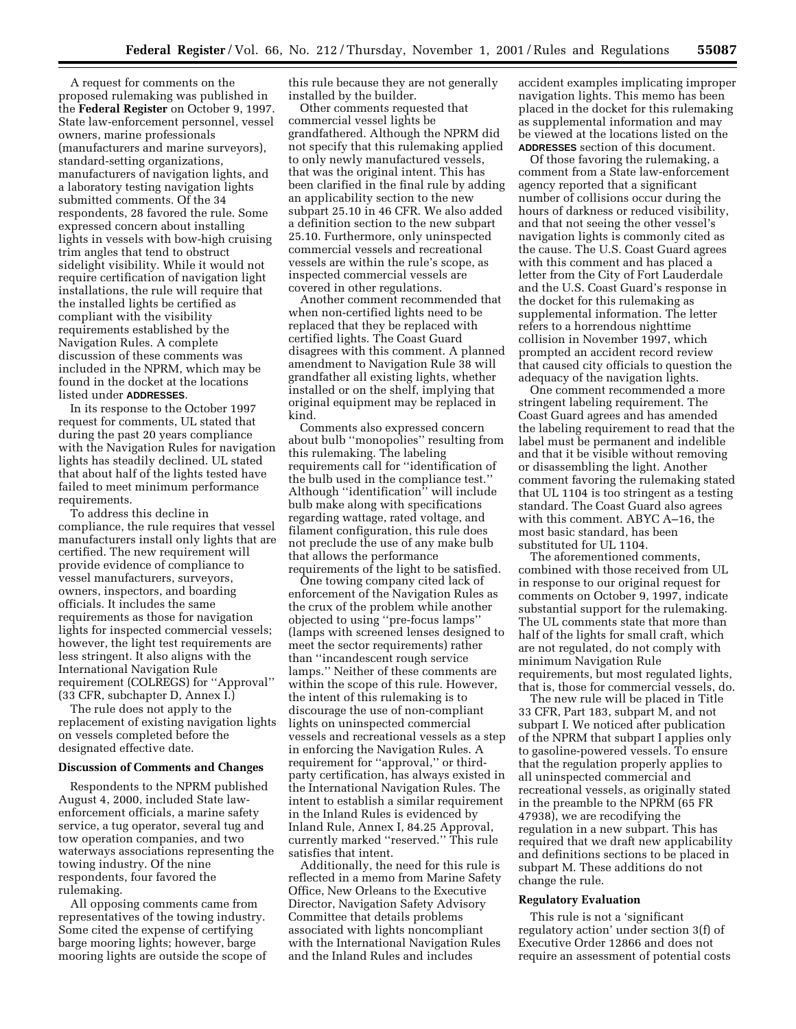A request for comments on the proposed rulemaking was published in the **Federal Register** on October 9, 1997. State law-enforcement personnel, vessel owners, marine professionals (manufacturers and marine surveyors), standard-setting organizations, manufacturers of navigation lights, and a laboratory testing navigation lights submitted comments. Of the 34 respondents, 28 favored the rule. Some expressed concern about installing lights in vessels with bow-high cruising trim angles that tend to obstruct sidelight visibility. While it would not require certification of navigation light installations, the rule will require that the installed lights be certified as compliant with the visibility requirements established by the Navigation Rules. A complete discussion of these comments was included in the NPRM, which may be found in the docket at the locations listed under **ADDRESSES**.

In its response to the October 1997 request for comments, UL stated that during the past 20 years compliance with the Navigation Rules for navigation lights has steadily declined. UL stated that about half of the lights tested have failed to meet minimum performance requirements.

To address this decline in compliance, the rule requires that vessel manufacturers install only lights that are certified. The new requirement will provide evidence of compliance to vessel manufacturers, surveyors, owners, inspectors, and boarding officials. It includes the same requirements as those for navigation lights for inspected commercial vessels; however, the light test requirements are less stringent. It also aligns with the International Navigation Rule requirement (COLREGS) for ''Approval'' (33 CFR, subchapter D, Annex I.)

The rule does not apply to the replacement of existing navigation lights on vessels completed before the designated effective date.

#### **Discussion of Comments and Changes**

Respondents to the NPRM published August 4, 2000, included State lawenforcement officials, a marine safety service, a tug operator, several tug and tow operation companies, and two waterways associations representing the towing industry. Of the nine respondents, four favored the rulemaking.

All opposing comments came from representatives of the towing industry. Some cited the expense of certifying barge mooring lights; however, barge mooring lights are outside the scope of this rule because they are not generally installed by the builder.

Other comments requested that commercial vessel lights be grandfathered. Although the NPRM did not specify that this rulemaking applied to only newly manufactured vessels, that was the original intent. This has been clarified in the final rule by adding an applicability section to the new subpart 25.10 in 46 CFR. We also added a definition section to the new subpart 25.10. Furthermore, only uninspected commercial vessels and recreational vessels are within the rule's scope, as inspected commercial vessels are covered in other regulations.

Another comment recommended that when non-certified lights need to be replaced that they be replaced with certified lights. The Coast Guard disagrees with this comment. A planned amendment to Navigation Rule 38 will grandfather all existing lights, whether installed or on the shelf, implying that original equipment may be replaced in kind.

Comments also expressed concern about bulb ''monopolies'' resulting from this rulemaking. The labeling requirements call for ''identification of the bulb used in the compliance test.'' Although ''identification'' will include bulb make along with specifications regarding wattage, rated voltage, and filament configuration, this rule does not preclude the use of any make bulb that allows the performance requirements of the light to be satisfied.

One towing company cited lack of enforcement of the Navigation Rules as the crux of the problem while another objected to using ''pre-focus lamps'' (lamps with screened lenses designed to meet the sector requirements) rather than ''incandescent rough service lamps.'' Neither of these comments are within the scope of this rule. However, the intent of this rulemaking is to discourage the use of non-compliant lights on uninspected commercial vessels and recreational vessels as a step in enforcing the Navigation Rules. A requirement for ''approval,'' or thirdparty certification, has always existed in the International Navigation Rules. The intent to establish a similar requirement in the Inland Rules is evidenced by Inland Rule, Annex I, 84.25 Approval, currently marked ''reserved.'' This rule satisfies that intent.

Additionally, the need for this rule is reflected in a memo from Marine Safety Office, New Orleans to the Executive Director, Navigation Safety Advisory Committee that details problems associated with lights noncompliant with the International Navigation Rules and the Inland Rules and includes

accident examples implicating improper navigation lights. This memo has been placed in the docket for this rulemaking as supplemental information and may be viewed at the locations listed on the **ADDRESSES** section of this document.

Of those favoring the rulemaking, a comment from a State law-enforcement agency reported that a significant number of collisions occur during the hours of darkness or reduced visibility, and that not seeing the other vessel's navigation lights is commonly cited as the cause. The U.S. Coast Guard agrees with this comment and has placed a letter from the City of Fort Lauderdale and the U.S. Coast Guard's response in the docket for this rulemaking as supplemental information. The letter refers to a horrendous nighttime collision in November 1997, which prompted an accident record review that caused city officials to question the adequacy of the navigation lights.

One comment recommended a more stringent labeling requirement. The Coast Guard agrees and has amended the labeling requirement to read that the label must be permanent and indelible and that it be visible without removing or disassembling the light. Another comment favoring the rulemaking stated that UL 1104 is too stringent as a testing standard. The Coast Guard also agrees with this comment. ABYC A–16, the most basic standard, has been substituted for UL 1104.

The aforementioned comments, combined with those received from UL in response to our original request for comments on October 9, 1997, indicate substantial support for the rulemaking. The UL comments state that more than half of the lights for small craft, which are not regulated, do not comply with minimum Navigation Rule requirements, but most regulated lights, that is, those for commercial vessels, do.

The new rule will be placed in Title 33 CFR, Part 183, subpart M, and not subpart I. We noticed after publication of the NPRM that subpart I applies only to gasoline-powered vessels. To ensure that the regulation properly applies to all uninspected commercial and recreational vessels, as originally stated in the preamble to the NPRM (65 FR 47938), we are recodifying the regulation in a new subpart. This has required that we draft new applicability and definitions sections to be placed in subpart M. These additions do not change the rule.

#### **Regulatory Evaluation**

This rule is not a 'significant regulatory action' under section 3(f) of Executive Order 12866 and does not require an assessment of potential costs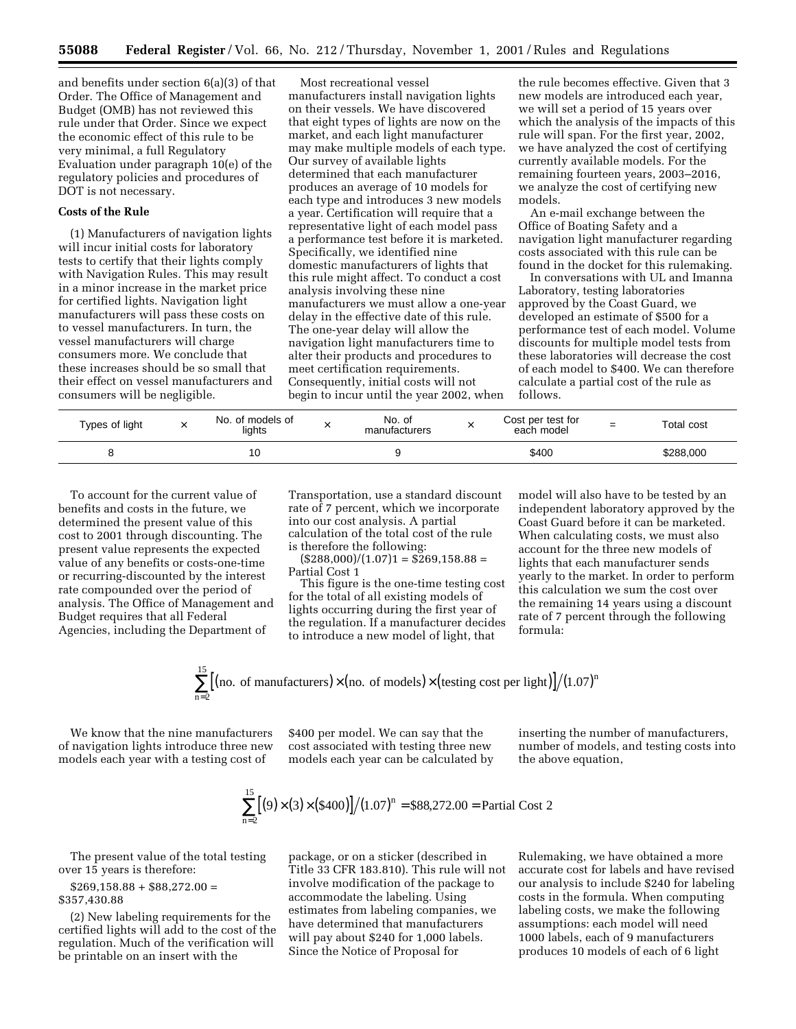and benefits under section 6(a)(3) of that Order. The Office of Management and Budget (OMB) has not reviewed this rule under that Order. Since we expect the economic effect of this rule to be very minimal, a full Regulatory Evaluation under paragraph 10(e) of the regulatory policies and procedures of DOT is not necessary.

# **Costs of the Rule**

(1) Manufacturers of navigation lights will incur initial costs for laboratory tests to certify that their lights comply with Navigation Rules. This may result in a minor increase in the market price for certified lights. Navigation light manufacturers will pass these costs on to vessel manufacturers. In turn, the vessel manufacturers will charge consumers more. We conclude that these increases should be so small that their effect on vessel manufacturers and consumers will be negligible.

Most recreational vessel manufacturers install navigation lights on their vessels. We have discovered that eight types of lights are now on the market, and each light manufacturer may make multiple models of each type. Our survey of available lights determined that each manufacturer produces an average of 10 models for each type and introduces 3 new models a year. Certification will require that a representative light of each model pass a performance test before it is marketed. Specifically, we identified nine domestic manufacturers of lights that this rule might affect. To conduct a cost analysis involving these nine manufacturers we must allow a one-year delay in the effective date of this rule. The one-year delay will allow the navigation light manufacturers time to alter their products and procedures to meet certification requirements. Consequently, initial costs will not begin to incur until the year 2002, when

the rule becomes effective. Given that 3 new models are introduced each year, we will set a period of 15 years over which the analysis of the impacts of this rule will span. For the first year, 2002, we have analyzed the cost of certifying currently available models. For the remaining fourteen years, 2003–2016, we analyze the cost of certifying new models.

An e-mail exchange between the Office of Boating Safety and a navigation light manufacturer regarding costs associated with this rule can be found in the docket for this rulemaking.

In conversations with UL and Imanna Laboratory, testing laboratories approved by the Coast Guard, we developed an estimate of \$500 for a performance test of each model. Volume discounts for multiple model tests from these laboratories will decrease the cost of each model to \$400. We can therefore calculate a partial cost of the rule as follows.

| Types of light | No. of models of<br>lights | ⌒ | No. of<br>manufacturers | Cost per test for<br>each model | $=$ | Total cost |
|----------------|----------------------------|---|-------------------------|---------------------------------|-----|------------|
|                | ١U                         |   |                         | \$400                           |     | \$288,000  |

To account for the current value of benefits and costs in the future, we determined the present value of this cost to 2001 through discounting. The present value represents the expected value of any benefits or costs-one-time or recurring-discounted by the interest rate compounded over the period of analysis. The Office of Management and Budget requires that all Federal Agencies, including the Department of

Transportation, use a standard discount rate of 7 percent, which we incorporate into our cost analysis. A partial calculation of the total cost of the rule is therefore the following:

 $($288,000)/(1.07)1 = $269,158.88 =$ Partial Cost 1

This figure is the one-time testing cost for the total of all existing models of lights occurring during the first year of the regulation. If a manufacturer decides to introduce a new model of light, that

model will also have to be tested by an independent laboratory approved by the Coast Guard before it can be marketed. When calculating costs, we must also account for the three new models of lights that each manufacturer sends yearly to the market. In order to perform this calculation we sum the cost over the remaining 14 years using a discount rate of 7 percent through the following formula:

$$
\sum_{n=2}^{\infty} [(no. of manufacturers) \times (no. of models) \times (testing cost per light)]/(1.07)^{n}
$$

We know that the nine manufacturers of navigation lights introduce three new models each year with a testing cost of

15

\$400 per model. We can say that the cost associated with testing three new models each year can be calculated by

inserting the number of manufacturers, number of models, and testing costs into the above equation,

$$
\sum_{n=2}^{15} [(9) \times (3) \times (\$400)] / (1.07)^{n} = \$88,272.00 = \text{Partial Cost 2}
$$

The present value of the total testing over 15 years is therefore:

 $$269,158.88 + $88,272.00 =$ \$357,430.88

(2) New labeling requirements for the certified lights will add to the cost of the regulation. Much of the verification will be printable on an insert with the

package, or on a sticker (described in Title 33 CFR 183.810). This rule will not involve modification of the package to accommodate the labeling. Using estimates from labeling companies, we have determined that manufacturers

will pay about \$240 for 1,000 labels. Since the Notice of Proposal for

Rulemaking, we have obtained a more accurate cost for labels and have revised our analysis to include \$240 for labeling costs in the formula. When computing labeling costs, we make the following assumptions: each model will need 1000 labels, each of 9 manufacturers produces 10 models of each of 6 light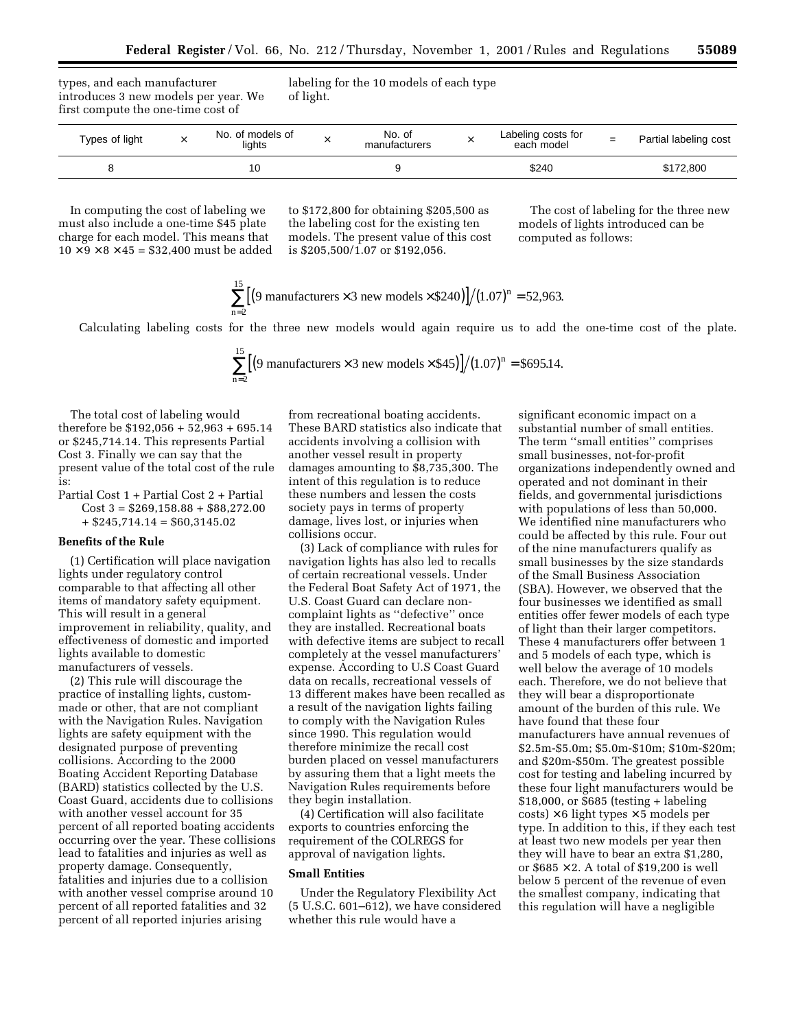types, and each manufacturer introduces 3 new models per year. We first compute the one-time cost of

labeling for the 10 models of each type of light.

| Types of light | No. of models of<br>lights | No. of<br>manufacturers | Labeling costs for<br>each model | $=$ | Partial labeling cost |
|----------------|----------------------------|-------------------------|----------------------------------|-----|-----------------------|
|                |                            |                         | \$240                            |     | \$172,800             |

In computing the cost of labeling we must also include a one-time \$45 plate charge for each model. This means that  $10 \times 9 \times 8 \times 45 = $32,400$  must be added

to \$172,800 for obtaining \$205,500 as the labeling cost for the existing ten models. The present value of this cost is \$205,500/1.07 or \$192,056.

The cost of labeling for the three new models of lights introduced can be computed as follows:

$$
\sum_{n=2}^{15} [(9 \text{ manufacturers} \times 3 \text{ new models} \times $240)]/(1.07)^n = 52,963.
$$

Calculating labeling costs for the three new models would again require us to add the one-time cost of the plate.

$$
\sum_{n=2}^{15} [(9 \text{ manufacturers} \times 3 \text{ new models} \times $45)] / (1.07)^n = $695.14.
$$

The total cost of labeling would therefore be \$192,056 + 52,963 + 695.14 or \$245,714.14. This represents Partial Cost 3. Finally we can say that the present value of the total cost of the rule is:

 $\overline{16}$ 

Partial Cost 1 + Partial Cost 2 + Partial  $Cost 3 = $269,158.88 + $88,272.00$  $+$  \$245,714.14 = \$60,3145.02

# **Benefits of the Rule**

(1) Certification will place navigation lights under regulatory control comparable to that affecting all other items of mandatory safety equipment. This will result in a general improvement in reliability, quality, and effectiveness of domestic and imported lights available to domestic manufacturers of vessels.

(2) This rule will discourage the practice of installing lights, custommade or other, that are not compliant with the Navigation Rules. Navigation lights are safety equipment with the designated purpose of preventing collisions. According to the 2000 Boating Accident Reporting Database (BARD) statistics collected by the U.S. Coast Guard, accidents due to collisions with another vessel account for 35 percent of all reported boating accidents occurring over the year. These collisions lead to fatalities and injuries as well as property damage. Consequently, fatalities and injuries due to a collision with another vessel comprise around 10 percent of all reported fatalities and 32 percent of all reported injuries arising

from recreational boating accidents. These BARD statistics also indicate that accidents involving a collision with another vessel result in property damages amounting to \$8,735,300. The intent of this regulation is to reduce these numbers and lessen the costs society pays in terms of property damage, lives lost, or injuries when collisions occur.

(3) Lack of compliance with rules for navigation lights has also led to recalls of certain recreational vessels. Under the Federal Boat Safety Act of 1971, the U.S. Coast Guard can declare noncomplaint lights as ''defective'' once they are installed. Recreational boats with defective items are subject to recall completely at the vessel manufacturers' expense. According to U.S Coast Guard data on recalls, recreational vessels of 13 different makes have been recalled as a result of the navigation lights failing to comply with the Navigation Rules since 1990. This regulation would therefore minimize the recall cost burden placed on vessel manufacturers by assuring them that a light meets the Navigation Rules requirements before they begin installation.

(4) Certification will also facilitate exports to countries enforcing the requirement of the COLREGS for approval of navigation lights.

# **Small Entities**

Under the Regulatory Flexibility Act (5 U.S.C. 601–612), we have considered whether this rule would have a

significant economic impact on a substantial number of small entities. The term ''small entities'' comprises small businesses, not-for-profit organizations independently owned and operated and not dominant in their fields, and governmental jurisdictions with populations of less than 50,000. We identified nine manufacturers who could be affected by this rule. Four out of the nine manufacturers qualify as small businesses by the size standards of the Small Business Association (SBA). However, we observed that the four businesses we identified as small entities offer fewer models of each type of light than their larger competitors. These 4 manufacturers offer between 1 and 5 models of each type, which is well below the average of 10 models each. Therefore, we do not believe that they will bear a disproportionate amount of the burden of this rule. We have found that these four manufacturers have annual revenues of \$2.5m-\$5.0m; \$5.0m-\$10m; \$10m-\$20m; and \$20m-\$50m. The greatest possible cost for testing and labeling incurred by these four light manufacturers would be \$18,000, or \$685 (testing + labeling  $costs$ ) × 6 light types × 5 models per type. In addition to this, if they each test at least two new models per year then they will have to bear an extra \$1,280, or  $$685 \times 2$ . A total of \$19,200 is well below 5 percent of the revenue of even the smallest company, indicating that this regulation will have a negligible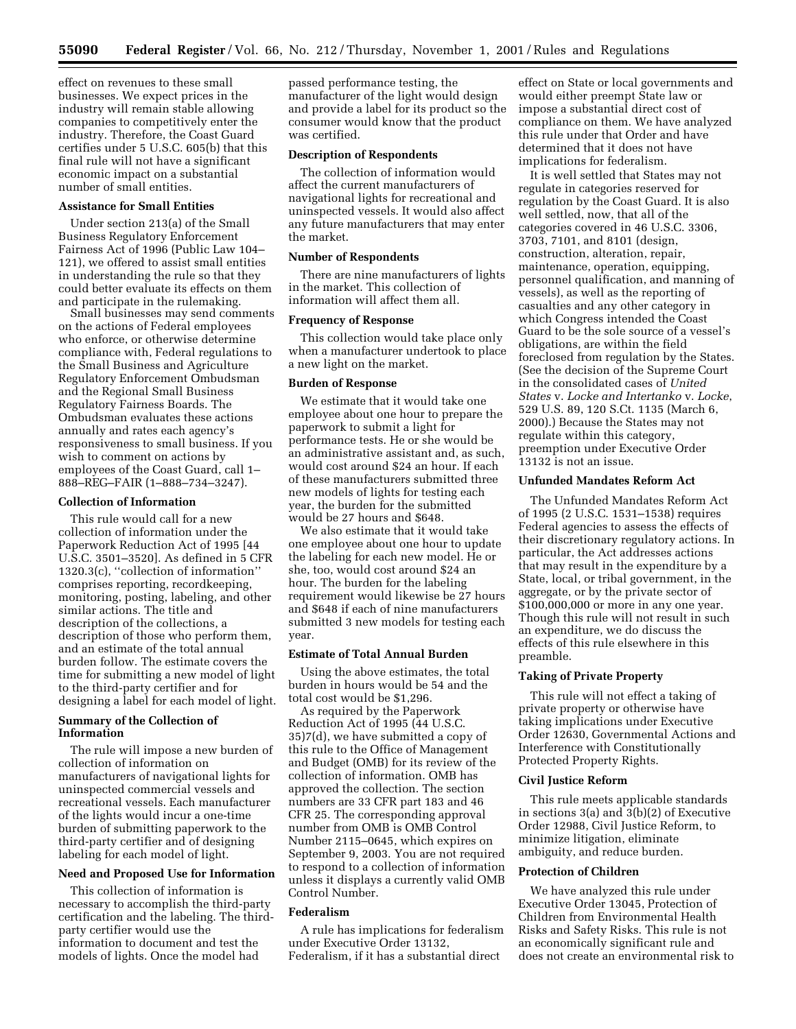effect on revenues to these small businesses. We expect prices in the industry will remain stable allowing companies to competitively enter the industry. Therefore, the Coast Guard certifies under 5 U.S.C. 605(b) that this final rule will not have a significant economic impact on a substantial number of small entities.

# **Assistance for Small Entities**

Under section 213(a) of the Small Business Regulatory Enforcement Fairness Act of 1996 (Public Law 104– 121), we offered to assist small entities in understanding the rule so that they could better evaluate its effects on them and participate in the rulemaking.

Small businesses may send comments on the actions of Federal employees who enforce, or otherwise determine compliance with, Federal regulations to the Small Business and Agriculture Regulatory Enforcement Ombudsman and the Regional Small Business Regulatory Fairness Boards. The Ombudsman evaluates these actions annually and rates each agency's responsiveness to small business. If you wish to comment on actions by employees of the Coast Guard, call 1– 888–REG–FAIR (1–888–734–3247).

## **Collection of Information**

This rule would call for a new collection of information under the Paperwork Reduction Act of 1995 [44 U.S.C. 3501–3520]. As defined in 5 CFR 1320.3(c), ''collection of information'' comprises reporting, recordkeeping, monitoring, posting, labeling, and other similar actions. The title and description of the collections, a description of those who perform them, and an estimate of the total annual burden follow. The estimate covers the time for submitting a new model of light to the third-party certifier and for designing a label for each model of light.

# **Summary of the Collection of Information**

The rule will impose a new burden of collection of information on manufacturers of navigational lights for uninspected commercial vessels and recreational vessels. Each manufacturer of the lights would incur a one-time burden of submitting paperwork to the third-party certifier and of designing labeling for each model of light.

## **Need and Proposed Use for Information**

This collection of information is necessary to accomplish the third-party certification and the labeling. The thirdparty certifier would use the information to document and test the models of lights. Once the model had

passed performance testing, the manufacturer of the light would design and provide a label for its product so the consumer would know that the product was certified.

## **Description of Respondents**

The collection of information would affect the current manufacturers of navigational lights for recreational and uninspected vessels. It would also affect any future manufacturers that may enter the market.

## **Number of Respondents**

There are nine manufacturers of lights in the market. This collection of information will affect them all.

# **Frequency of Response**

This collection would take place only when a manufacturer undertook to place a new light on the market.

# **Burden of Response**

We estimate that it would take one employee about one hour to prepare the paperwork to submit a light for performance tests. He or she would be an administrative assistant and, as such, would cost around \$24 an hour. If each of these manufacturers submitted three new models of lights for testing each year, the burden for the submitted would be 27 hours and \$648.

We also estimate that it would take one employee about one hour to update the labeling for each new model. He or she, too, would cost around \$24 an hour. The burden for the labeling requirement would likewise be 27 hours and \$648 if each of nine manufacturers submitted 3 new models for testing each year.

#### **Estimate of Total Annual Burden**

Using the above estimates, the total burden in hours would be 54 and the total cost would be \$1,296.

As required by the Paperwork Reduction Act of 1995 (44 U.S.C. 35)7(d), we have submitted a copy of this rule to the Office of Management and Budget (OMB) for its review of the collection of information. OMB has approved the collection. The section numbers are 33 CFR part 183 and 46 CFR 25. The corresponding approval number from OMB is OMB Control Number 2115–0645, which expires on September 9, 2003. You are not required to respond to a collection of information unless it displays a currently valid OMB Control Number.

# **Federalism**

A rule has implications for federalism under Executive Order 13132, Federalism, if it has a substantial direct

effect on State or local governments and would either preempt State law or impose a substantial direct cost of compliance on them. We have analyzed this rule under that Order and have determined that it does not have implications for federalism.

It is well settled that States may not regulate in categories reserved for regulation by the Coast Guard. It is also well settled, now, that all of the categories covered in 46 U.S.C. 3306, 3703, 7101, and 8101 (design, construction, alteration, repair, maintenance, operation, equipping, personnel qualification, and manning of vessels), as well as the reporting of casualties and any other category in which Congress intended the Coast Guard to be the sole source of a vessel's obligations, are within the field foreclosed from regulation by the States. (See the decision of the Supreme Court in the consolidated cases of *United States* v. *Locke and Intertanko* v. *Locke*, 529 U.S. 89, 120 S.Ct. 1135 (March 6, 2000).) Because the States may not regulate within this category, preemption under Executive Order 13132 is not an issue.

# **Unfunded Mandates Reform Act**

The Unfunded Mandates Reform Act of 1995 (2 U.S.C. 1531–1538) requires Federal agencies to assess the effects of their discretionary regulatory actions. In particular, the Act addresses actions that may result in the expenditure by a State, local, or tribal government, in the aggregate, or by the private sector of \$100,000,000 or more in any one year. Though this rule will not result in such an expenditure, we do discuss the effects of this rule elsewhere in this preamble.

# **Taking of Private Property**

This rule will not effect a taking of private property or otherwise have taking implications under Executive Order 12630, Governmental Actions and Interference with Constitutionally Protected Property Rights.

#### **Civil Justice Reform**

This rule meets applicable standards in sections 3(a) and 3(b)(2) of Executive Order 12988, Civil Justice Reform, to minimize litigation, eliminate ambiguity, and reduce burden.

### **Protection of Children**

We have analyzed this rule under Executive Order 13045, Protection of Children from Environmental Health Risks and Safety Risks. This rule is not an economically significant rule and does not create an environmental risk to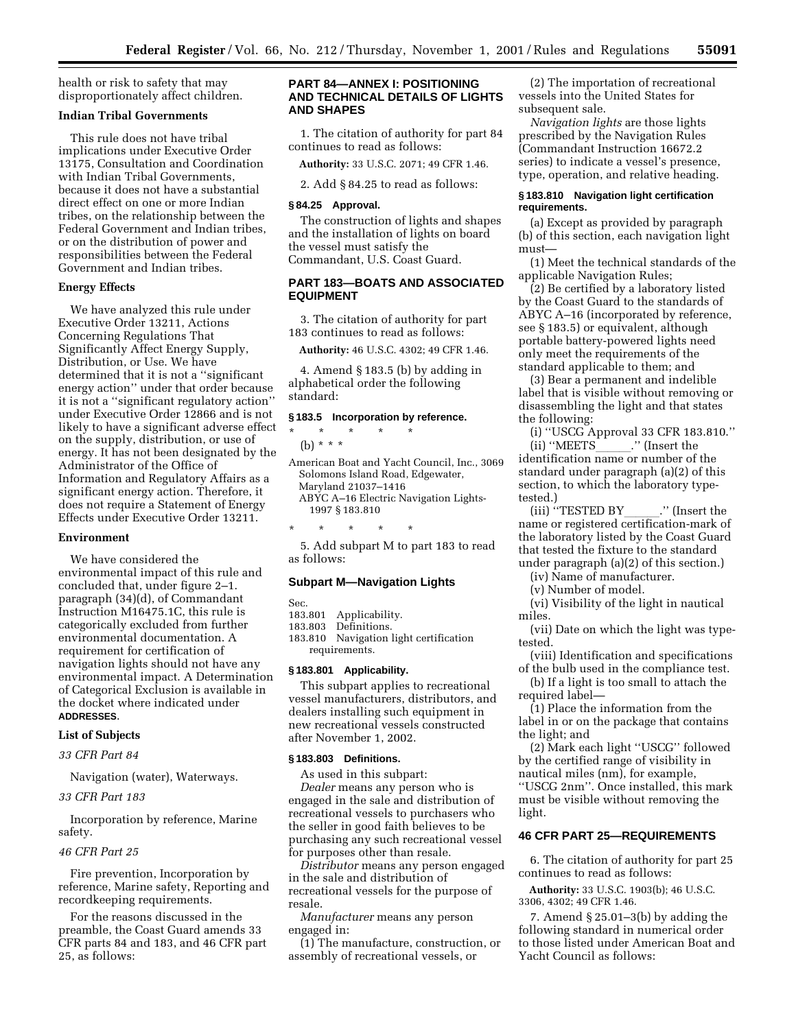health or risk to safety that may disproportionately affect children.

# **Indian Tribal Governments**

This rule does not have tribal implications under Executive Order 13175, Consultation and Coordination with Indian Tribal Governments, because it does not have a substantial direct effect on one or more Indian tribes, on the relationship between the Federal Government and Indian tribes, or on the distribution of power and responsibilities between the Federal Government and Indian tribes.

# **Energy Effects**

We have analyzed this rule under Executive Order 13211, Actions Concerning Regulations That Significantly Affect Energy Supply, Distribution, or Use. We have determined that it is not a ''significant energy action'' under that order because it is not a ''significant regulatory action'' under Executive Order 12866 and is not likely to have a significant adverse effect on the supply, distribution, or use of energy. It has not been designated by the Administrator of the Office of Information and Regulatory Affairs as a significant energy action. Therefore, it does not require a Statement of Energy Effects under Executive Order 13211.

# **Environment**

We have considered the environmental impact of this rule and concluded that, under figure 2–1. paragraph (34)(d), of Commandant Instruction M16475.1C, this rule is categorically excluded from further environmental documentation. A requirement for certification of navigation lights should not have any environmental impact. A Determination of Categorical Exclusion is available in the docket where indicated under **ADDRESSES**.

# **List of Subjects**

# *33 CFR Part 84*

Navigation (water), Waterways.

*33 CFR Part 183*

Incorporation by reference, Marine safety.

# *46 CFR Part 25*

Fire prevention, Incorporation by reference, Marine safety, Reporting and recordkeeping requirements.

For the reasons discussed in the preamble, the Coast Guard amends 33 CFR parts 84 and 183, and 46 CFR part 25, as follows:

# **PART 84—ANNEX I: POSITIONING AND TECHNICAL DETAILS OF LIGHTS AND SHAPES**

1. The citation of authority for part 84 continues to read as follows:

**Authority:** 33 U.S.C. 2071; 49 CFR 1.46.

2. Add § 84.25 to read as follows:

## **§ 84.25 Approval.**

The construction of lights and shapes and the installation of lights on board the vessel must satisfy the Commandant, U.S. Coast Guard.

# **PART 183—BOATS AND ASSOCIATED EQUIPMENT**

3. The citation of authority for part 183 continues to read as follows:

**Authority:** 46 U.S.C. 4302; 49 CFR 1.46.

4. Amend § 183.5 (b) by adding in alphabetical order the following standard:

#### **§ 183.5 Incorporation by reference.**

\* \* \* \* \* (b) \* \* \* American Boat and Yacht Council, Inc., 3069 Solomons Island Road, Edgewater, Maryland 21037–1416

ABYC A–16 Electric Navigation Lights-1997 § 183.810

5. Add subpart M to part 183 to read as follows:

#### **Subpart M—Navigation Lights**

Sec.

183.801 Applicability.

\* \* \* \* \*

- 183.803 Definitions.
- 183.810 Navigation light certification requirements.

#### **§ 183.801 Applicability.**

This subpart applies to recreational vessel manufacturers, distributors, and dealers installing such equipment in new recreational vessels constructed after November 1, 2002.

# **§ 183.803 Definitions.**

As used in this subpart: *Dealer* means any person who is engaged in the sale and distribution of recreational vessels to purchasers who the seller in good faith believes to be purchasing any such recreational vessel for purposes other than resale.

*Distributor* means any person engaged in the sale and distribution of recreational vessels for the purpose of resale.

*Manufacturer* means any person engaged in:

(1) The manufacture, construction, or assembly of recreational vessels, or

(2) The importation of recreational vessels into the United States for subsequent sale.

*Navigation lights* are those lights prescribed by the Navigation Rules (Commandant Instruction 16672.2 series) to indicate a vessel's presence, type, operation, and relative heading.

## **§ 183.810 Navigation light certification requirements.**

(a) Except as provided by paragraph (b) of this section, each navigation light must—

(1) Meet the technical standards of the applicable Navigation Rules;

(2) Be certified by a laboratory listed by the Coast Guard to the standards of ABYC A–16 (incorporated by reference, see § 183.5) or equivalent, although portable battery-powered lights need only meet the requirements of the standard applicable to them; and

(3) Bear a permanent and indelible label that is visible without removing or disassembling the light and that states the following:

(i) "USCG Approval 33 CFR 183.810."<br>(ii) "MEETS ..." (Insert the id) "MEETS\_\_\_\_\_\_." (Insert the identification name or number of the

standard under paragraph (a)(2) of this section, to which the laboratory typetested.)

iii) ''TESTED BY\_\_\_\_\_\_.'' (Insert the name or registered certification-mark of) the laboratory listed by the Coast Guard that tested the fixture to the standard under paragraph (a)(2) of this section.)

(iv) Name of manufacturer.

(v) Number of model.

(vi) Visibility of the light in nautical miles.

(vii) Date on which the light was typetested.

(viii) Identification and specifications of the bulb used in the compliance test.

(b) If a light is too small to attach the required label—

(1) Place the information from the label in or on the package that contains the light; and

(2) Mark each light ''USCG'' followed by the certified range of visibility in nautical miles (nm), for example, ''USCG 2nm''. Once installed, this mark must be visible without removing the light.

# **46 CFR PART 25—REQUIREMENTS**

6. The citation of authority for part 25 continues to read as follows:

**Authority:** 33 U.S.C. 1903(b); 46 U.S.C. 3306, 4302; 49 CFR 1.46.

7. Amend § 25.01–3(b) by adding the following standard in numerical order to those listed under American Boat and Yacht Council as follows: